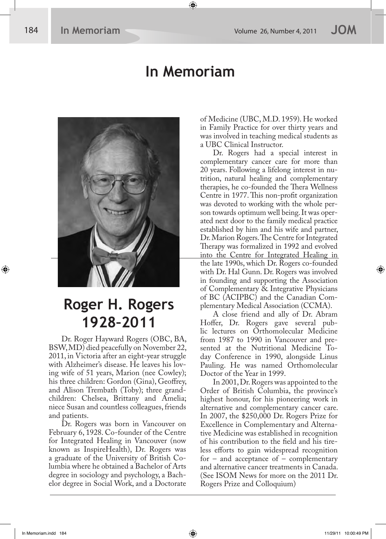### **In Memoriam**



## **Roger H. Rogers 1928–2011**

Dr. Roger Hayward Rogers (OBC, BA, BSW, MD) died peacefully on November 22, 2011, in Victoria after an eight-year struggle with Alzheimer's disease. He leaves his loving wife of 51 years, Marion (nee Cowley); his three children: Gordon (Gina), Geoffrey, and Alison Trembath (Toby); three grandchildren: Chelsea, Brittany and Amelia; niece Susan and countless colleagues, friends and patients.

Dr. Rogers was born in Vancouver on February 6, 1928. Co-founder of the Centre for Integrated Healing in Vancouver (now known as InspireHealth), Dr. Rogers was a graduate of the University of British Columbia where he obtained a Bachelor of Arts degree in sociology and psychology, a Bachelor degree in Social Work, and a Doctorate of Medicine (UBC, M.D. 1959). He worked in Family Practice for over thirty years and was involved in teaching medical students as a UBC Clinical Instructor.

Dr. Rogers had a special interest in complementary cancer care for more than 20 years. Following a lifelong interest in nutrition, natural healing and complementary therapies, he co-founded the Thera Wellness Centre in 1977. This non-profit organization was devoted to working with the whole person towards optimum well being. It was operated next door to the family medical practice established by him and his wife and partner, Dr. Marion Rogers. The Centre for Integrated Therapy was formalized in 1992 and evolved into the Centre for Integrated Healing in the late 1990s, which Dr. Rogers co-founded with Dr. Hal Gunn. Dr. Rogers was involved in founding and supporting the Association of Complementary & Integrative Physicians of BC (ACIPBC) and the Canadian Complementary Medical Association (CCMA).

A close friend and ally of Dr. Abram Hoffer, Dr. Rogers gave several public lectures on Orthomolecular Medicine from 1987 to 1990 in Vancouver and presented at the Nutritional Medicine Today Conference in 1990, alongside Linus Pauling. He was named Orthomolecular Doctor of the Year in 1999.

In 2001, Dr. Rogers was appointed to the Order of British Columbia, the province's highest honour, for his pioneering work in alternative and complementary cancer care. In 2007, the \$250,000 Dr. Rogers Prize for Excellence in Complementary and Alternative Medicine was established in recognition of his contribution to the field and his tireless efforts to gain widespread recognition for – and acceptance of – complementary and alternative cancer treatments in Canada. (See ISOM News for more on the 2011 Dr. Rogers Prize and Colloquium)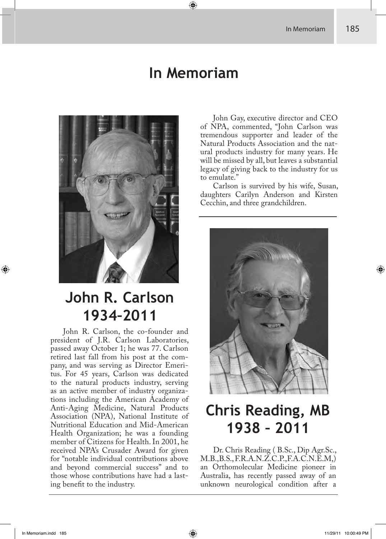#### **In Memoriam**



## **John R. Carlson 1934–2011**

John R. Carlson, the co-founder and president of J.R. Carlson Laboratories, passed away October 1; he was 77. Carlson retired last fall from his post at the company, and was serving as Director Emeritus. For 45 years, Carlson was dedicated to the natural products industry, serving as an active member of industry organizations including the American Academy of Anti-Aging Medicine, Natural Products Association (NPA), National Institute of Nutritional Education and Mid-American Health Organization; he was a founding member of Citizens for Health. In 2001, he received NPA's Crusader Award for given for "notable individual contributions above and beyond commercial success" and to those whose contributions have had a lasting benefit to the industry.

John Gay, executive director and CEO of NPA, commented, "John Carlson was tremendous supporter and leader of the Natural Products Association and the natural products industry for many years. He will be missed by all, but leaves a substantial legacy of giving back to the industry for us to emulate."

Carlson is survived by his wife, Susan, daughters Carilyn Anderson and Kirsten Cecchin, and three grandchildren.



# **Chris Reading, MB 1938 – 2011**

Dr. Chris Reading ( B.Sc., Dip Agr.Sc.,  $M.B., B.S., F.R.A.N.Z.C.P., F.A.C.N.E.M.)$ an Orthomolecular Medicine pioneer in Australia, has recently passed away of an unknown neurological condition after a